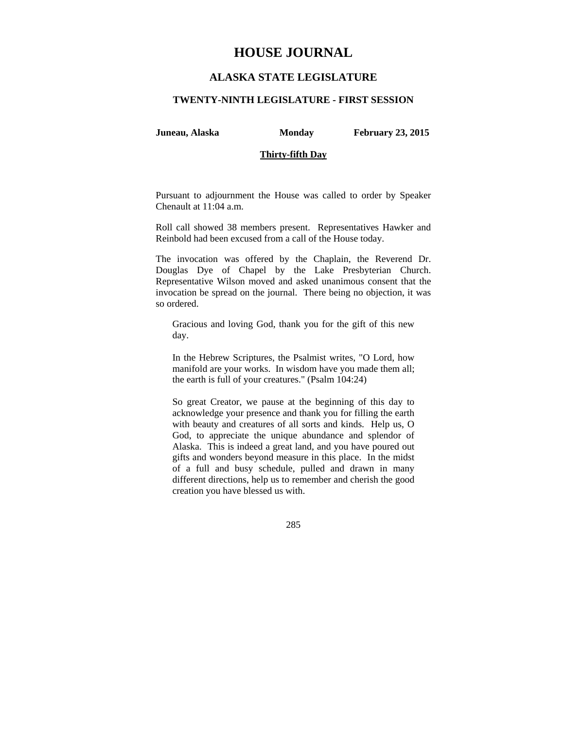# **HOUSE JOURNAL**

# **ALASKA STATE LEGISLATURE**

## **TWENTY-NINTH LEGISLATURE - FIRST SESSION**

**Juneau, Alaska Monday February 23, 2015** 

## **Thirty-fifth Day**

Pursuant to adjournment the House was called to order by Speaker Chenault at 11:04 a.m.

Roll call showed 38 members present. Representatives Hawker and Reinbold had been excused from a call of the House today.

The invocation was offered by the Chaplain, the Reverend Dr. Douglas Dye of Chapel by the Lake Presbyterian Church. Representative Wilson moved and asked unanimous consent that the invocation be spread on the journal. There being no objection, it was so ordered.

Gracious and loving God, thank you for the gift of this new day.

In the Hebrew Scriptures, the Psalmist writes, "O Lord, how manifold are your works. In wisdom have you made them all; the earth is full of your creatures." (Psalm 104:24)

So great Creator, we pause at the beginning of this day to acknowledge your presence and thank you for filling the earth with beauty and creatures of all sorts and kinds. Help us, O God, to appreciate the unique abundance and splendor of Alaska. This is indeed a great land, and you have poured out gifts and wonders beyond measure in this place. In the midst of a full and busy schedule, pulled and drawn in many different directions, help us to remember and cherish the good creation you have blessed us with.

285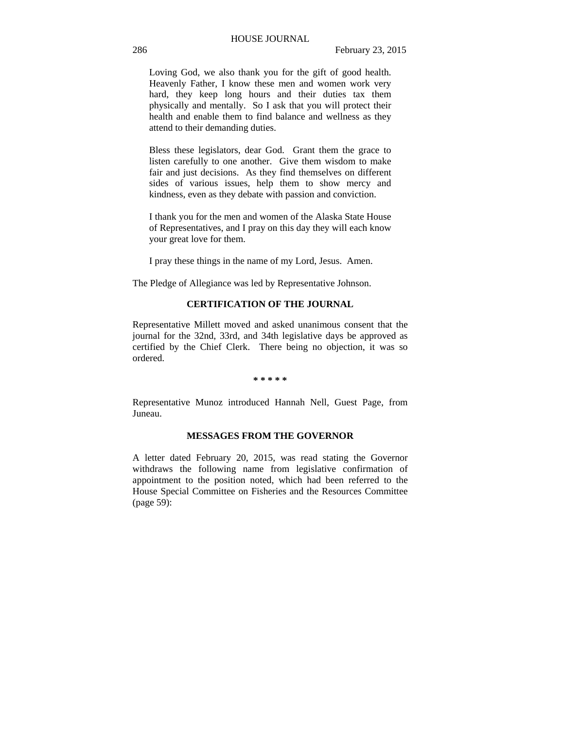Loving God, we also thank you for the gift of good health. Heavenly Father, I know these men and women work very hard, they keep long hours and their duties tax them physically and mentally. So I ask that you will protect their health and enable them to find balance and wellness as they attend to their demanding duties.

Bless these legislators, dear God. Grant them the grace to listen carefully to one another. Give them wisdom to make fair and just decisions. As they find themselves on different sides of various issues, help them to show mercy and kindness, even as they debate with passion and conviction.

I thank you for the men and women of the Alaska State House of Representatives, and I pray on this day they will each know your great love for them.

I pray these things in the name of my Lord, Jesus. Amen.

The Pledge of Allegiance was led by Representative Johnson.

# **CERTIFICATION OF THE JOURNAL**

Representative Millett moved and asked unanimous consent that the journal for the 32nd, 33rd, and 34th legislative days be approved as certified by the Chief Clerk. There being no objection, it was so ordered.

#### **\* \* \* \* \***

Representative Munoz introduced Hannah Nell, Guest Page, from Juneau.

# **MESSAGES FROM THE GOVERNOR**

A letter dated February 20, 2015, was read stating the Governor withdraws the following name from legislative confirmation of appointment to the position noted, which had been referred to the House Special Committee on Fisheries and the Resources Committee (page 59):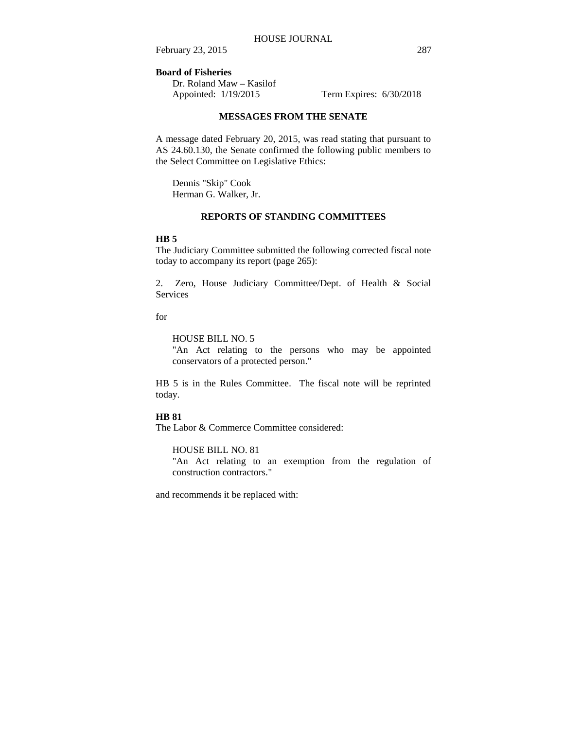## **Board of Fisheries**

Dr. Roland Maw – Kasilof Appointed: 1/19/2015 Term Expires: 6/30/2018

# **MESSAGES FROM THE SENATE**

A message dated February 20, 2015, was read stating that pursuant to AS 24.60.130, the Senate confirmed the following public members to the Select Committee on Legislative Ethics:

Dennis "Skip" Cook Herman G. Walker, Jr.

### **REPORTS OF STANDING COMMITTEES**

#### **HB 5**

The Judiciary Committee submitted the following corrected fiscal note today to accompany its report (page 265):

2. Zero, House Judiciary Committee/Dept. of Health & Social Services

for

# HOUSE BILL NO. 5

"An Act relating to the persons who may be appointed conservators of a protected person."

HB 5 is in the Rules Committee. The fiscal note will be reprinted today.

## **HB 81**

The Labor & Commerce Committee considered:

## HOUSE BILL NO. 81

"An Act relating to an exemption from the regulation of construction contractors."

and recommends it be replaced with: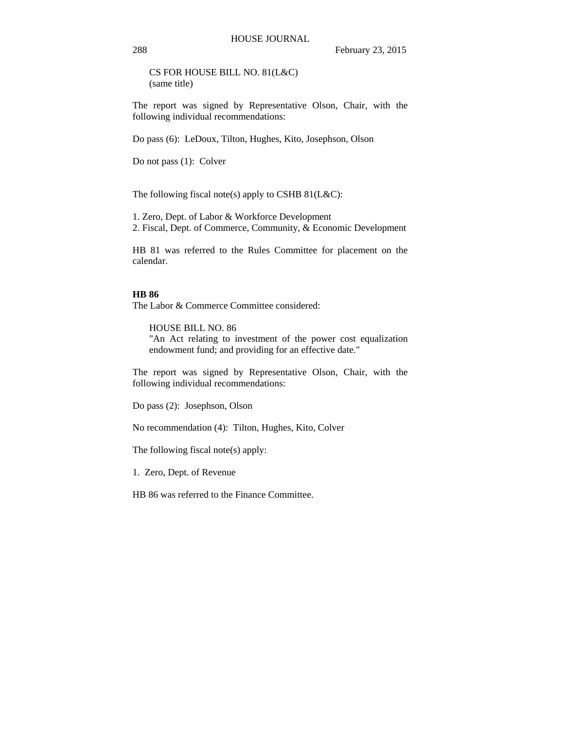CS FOR HOUSE BILL NO. 81(L&C) (same title)

The report was signed by Representative Olson, Chair, with the following individual recommendations:

Do pass (6): LeDoux, Tilton, Hughes, Kito, Josephson, Olson

Do not pass (1): Colver

The following fiscal note(s) apply to CSHB  $81(L&C)$ :

1. Zero, Dept. of Labor & Workforce Development 2. Fiscal, Dept. of Commerce, Community, & Economic Development

HB 81 was referred to the Rules Committee for placement on the calendar.

#### **HB 86**

The Labor & Commerce Committee considered:

HOUSE BILL NO. 86 "An Act relating to investment of the power cost equalization endowment fund; and providing for an effective date."

The report was signed by Representative Olson, Chair, with the following individual recommendations:

Do pass (2): Josephson, Olson

No recommendation (4): Tilton, Hughes, Kito, Colver

The following fiscal note(s) apply:

1. Zero, Dept. of Revenue

HB 86 was referred to the Finance Committee.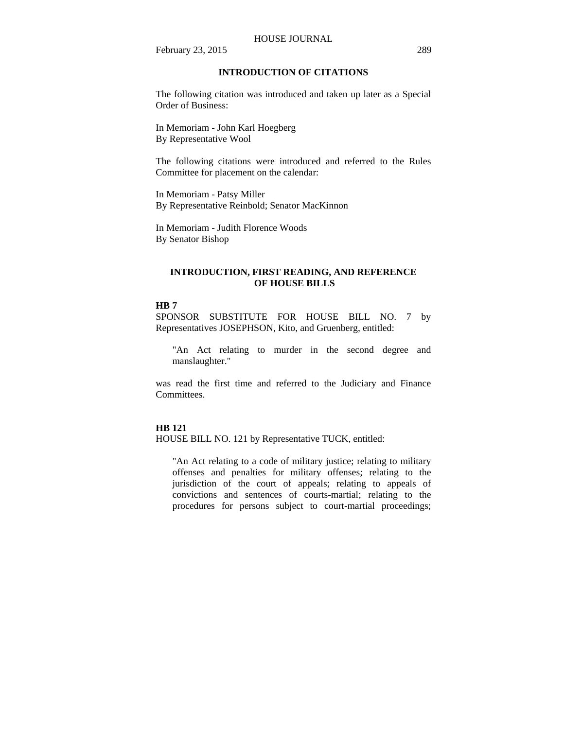# **INTRODUCTION OF CITATIONS**

The following citation was introduced and taken up later as a Special Order of Business:

In Memoriam - John Karl Hoegberg By Representative Wool

The following citations were introduced and referred to the Rules Committee for placement on the calendar:

In Memoriam - Patsy Miller By Representative Reinbold; Senator MacKinnon

In Memoriam - Judith Florence Woods By Senator Bishop

# **INTRODUCTION, FIRST READING, AND REFERENCE OF HOUSE BILLS**

# **HB 7**

SPONSOR SUBSTITUTE FOR HOUSE BILL NO. 7 by Representatives JOSEPHSON, Kito, and Gruenberg, entitled:

"An Act relating to murder in the second degree and manslaughter."

was read the first time and referred to the Judiciary and Finance Committees.

### **HB 121**

HOUSE BILL NO. 121 by Representative TUCK, entitled:

"An Act relating to a code of military justice; relating to military offenses and penalties for military offenses; relating to the jurisdiction of the court of appeals; relating to appeals of convictions and sentences of courts-martial; relating to the procedures for persons subject to court-martial proceedings;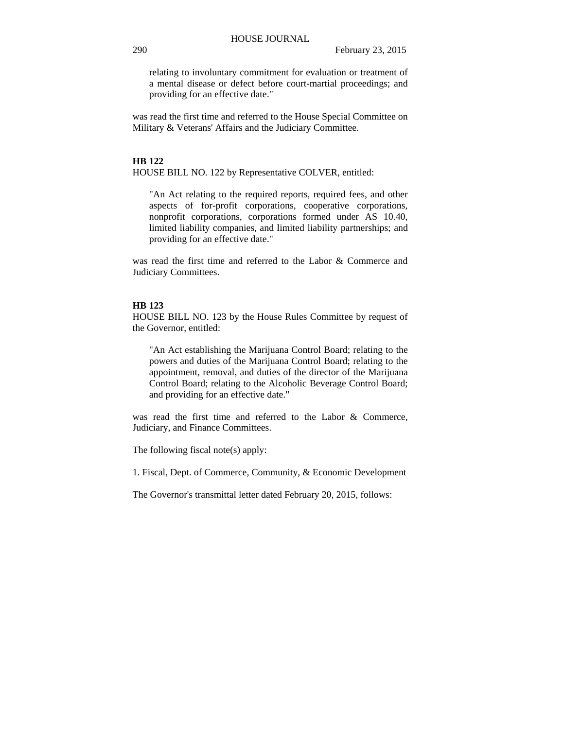relating to involuntary commitment for evaluation or treatment of a mental disease or defect before court-martial proceedings; and providing for an effective date."

was read the first time and referred to the House Special Committee on Military & Veterans' Affairs and the Judiciary Committee.

#### **HB 122**

HOUSE BILL NO. 122 by Representative COLVER, entitled:

"An Act relating to the required reports, required fees, and other aspects of for-profit corporations, cooperative corporations, nonprofit corporations, corporations formed under AS 10.40, limited liability companies, and limited liability partnerships; and providing for an effective date."

was read the first time and referred to the Labor & Commerce and Judiciary Committees.

## **HB 123**

HOUSE BILL NO. 123 by the House Rules Committee by request of the Governor, entitled:

"An Act establishing the Marijuana Control Board; relating to the powers and duties of the Marijuana Control Board; relating to the appointment, removal, and duties of the director of the Marijuana Control Board; relating to the Alcoholic Beverage Control Board; and providing for an effective date."

was read the first time and referred to the Labor & Commerce, Judiciary, and Finance Committees.

The following fiscal note(s) apply:

1. Fiscal, Dept. of Commerce, Community, & Economic Development

The Governor's transmittal letter dated February 20, 2015, follows: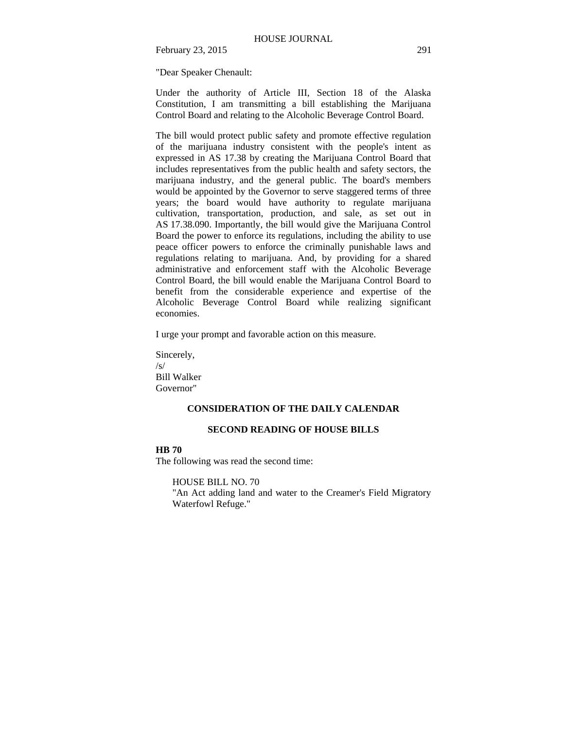"Dear Speaker Chenault:

Under the authority of Article III, Section 18 of the Alaska Constitution, I am transmitting a bill establishing the Marijuana Control Board and relating to the Alcoholic Beverage Control Board.

The bill would protect public safety and promote effective regulation of the marijuana industry consistent with the people's intent as expressed in AS 17.38 by creating the Marijuana Control Board that includes representatives from the public health and safety sectors, the marijuana industry, and the general public. The board's members would be appointed by the Governor to serve staggered terms of three years; the board would have authority to regulate marijuana cultivation, transportation, production, and sale, as set out in AS 17.38.090. Importantly, the bill would give the Marijuana Control Board the power to enforce its regulations, including the ability to use peace officer powers to enforce the criminally punishable laws and regulations relating to marijuana. And, by providing for a shared administrative and enforcement staff with the Alcoholic Beverage Control Board, the bill would enable the Marijuana Control Board to benefit from the considerable experience and expertise of the Alcoholic Beverage Control Board while realizing significant economies.

I urge your prompt and favorable action on this measure.

Sincerely,  $\sqrt{s}$ Bill Walker Governor"

## **CONSIDERATION OF THE DAILY CALENDAR**

### **SECOND READING OF HOUSE BILLS**

## **HB 70**

The following was read the second time:

HOUSE BILL NO. 70

"An Act adding land and water to the Creamer's Field Migratory Waterfowl Refuge."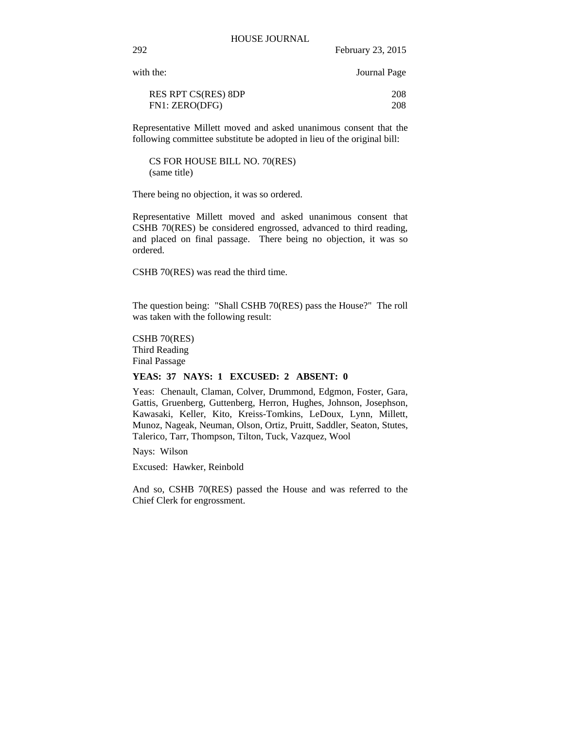with the: Journal Page

| <b>RES RPT CS(RES) 8DP</b> | 208 |
|----------------------------|-----|
| FN1: ZERO(DFG)             | 208 |

Representative Millett moved and asked unanimous consent that the following committee substitute be adopted in lieu of the original bill:

CS FOR HOUSE BILL NO. 70(RES) (same title)

There being no objection, it was so ordered.

Representative Millett moved and asked unanimous consent that CSHB 70(RES) be considered engrossed, advanced to third reading, and placed on final passage. There being no objection, it was so ordered.

CSHB 70(RES) was read the third time.

The question being: "Shall CSHB 70(RES) pass the House?" The roll was taken with the following result:

CSHB 70(RES) Third Reading Final Passage

#### **YEAS: 37 NAYS: 1 EXCUSED: 2 ABSENT: 0**

Yeas: Chenault, Claman, Colver, Drummond, Edgmon, Foster, Gara, Gattis, Gruenberg, Guttenberg, Herron, Hughes, Johnson, Josephson, Kawasaki, Keller, Kito, Kreiss-Tomkins, LeDoux, Lynn, Millett, Munoz, Nageak, Neuman, Olson, Ortiz, Pruitt, Saddler, Seaton, Stutes, Talerico, Tarr, Thompson, Tilton, Tuck, Vazquez, Wool

Nays: Wilson

Excused: Hawker, Reinbold

And so, CSHB 70(RES) passed the House and was referred to the Chief Clerk for engrossment.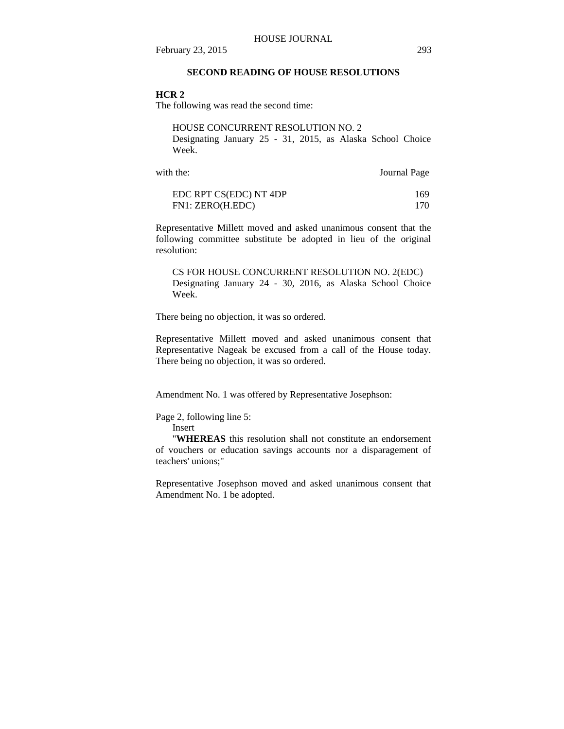# **SECOND READING OF HOUSE RESOLUTIONS**

#### **HCR 2**

The following was read the second time:

HOUSE CONCURRENT RESOLUTION NO. 2 Designating January 25 - 31, 2015, as Alaska School Choice Week.

| with the:              | Journal Page |
|------------------------|--------------|
| EDC RPT CS(EDC) NT 4DP | 169          |
| FN1: ZERO(H.EDC)       | 170.         |

Representative Millett moved and asked unanimous consent that the following committee substitute be adopted in lieu of the original resolution:

CS FOR HOUSE CONCURRENT RESOLUTION NO. 2(EDC) Designating January 24 - 30, 2016, as Alaska School Choice Week.

There being no objection, it was so ordered.

Representative Millett moved and asked unanimous consent that Representative Nageak be excused from a call of the House today. There being no objection, it was so ordered.

Amendment No. 1 was offered by Representative Josephson:

Page 2, following line 5:

Insert

 "**WHEREAS** this resolution shall not constitute an endorsement of vouchers or education savings accounts nor a disparagement of teachers' unions;"

Representative Josephson moved and asked unanimous consent that Amendment No. 1 be adopted.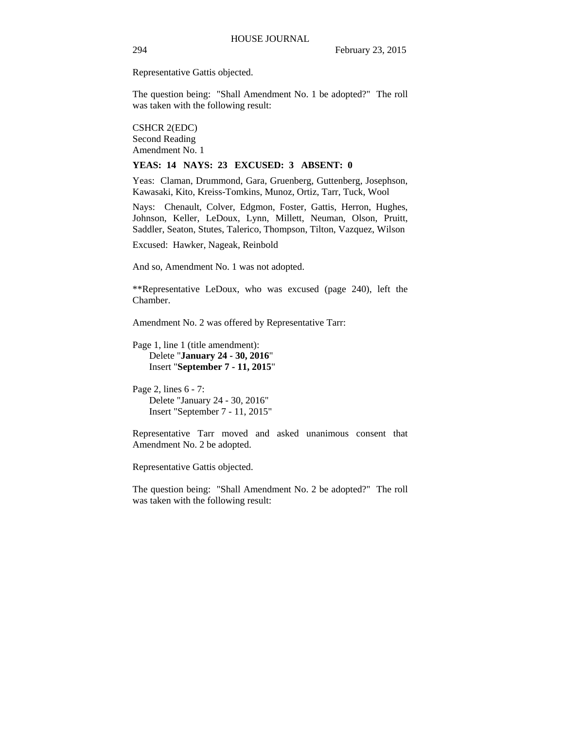Representative Gattis objected.

The question being: "Shall Amendment No. 1 be adopted?" The roll was taken with the following result:

CSHCR 2(EDC) Second Reading Amendment No. 1

#### **YEAS: 14 NAYS: 23 EXCUSED: 3 ABSENT: 0**

Yeas: Claman, Drummond, Gara, Gruenberg, Guttenberg, Josephson, Kawasaki, Kito, Kreiss-Tomkins, Munoz, Ortiz, Tarr, Tuck, Wool

Nays: Chenault, Colver, Edgmon, Foster, Gattis, Herron, Hughes, Johnson, Keller, LeDoux, Lynn, Millett, Neuman, Olson, Pruitt, Saddler, Seaton, Stutes, Talerico, Thompson, Tilton, Vazquez, Wilson

Excused: Hawker, Nageak, Reinbold

And so, Amendment No. 1 was not adopted.

\*\*Representative LeDoux, who was excused (page 240), left the Chamber.

Amendment No. 2 was offered by Representative Tarr:

Page 1, line 1 (title amendment): Delete "**January 24 - 30, 2016**" Insert "**September 7 - 11, 2015**"

Page 2, lines 6 - 7: Delete "January 24 - 30, 2016" Insert "September 7 - 11, 2015"

Representative Tarr moved and asked unanimous consent that Amendment No. 2 be adopted.

Representative Gattis objected.

The question being: "Shall Amendment No. 2 be adopted?" The roll was taken with the following result: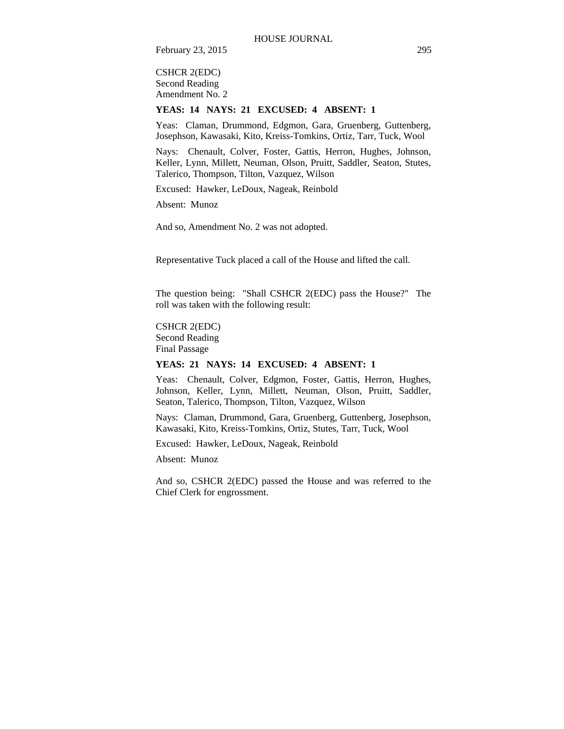CSHCR 2(EDC) Second Reading Amendment No. 2

#### **YEAS: 14 NAYS: 21 EXCUSED: 4 ABSENT: 1**

Yeas: Claman, Drummond, Edgmon, Gara, Gruenberg, Guttenberg, Josephson, Kawasaki, Kito, Kreiss-Tomkins, Ortiz, Tarr, Tuck, Wool

Nays: Chenault, Colver, Foster, Gattis, Herron, Hughes, Johnson, Keller, Lynn, Millett, Neuman, Olson, Pruitt, Saddler, Seaton, Stutes, Talerico, Thompson, Tilton, Vazquez, Wilson

Excused: Hawker, LeDoux, Nageak, Reinbold

Absent: Munoz

And so, Amendment No. 2 was not adopted.

Representative Tuck placed a call of the House and lifted the call.

The question being: "Shall CSHCR 2(EDC) pass the House?" The roll was taken with the following result:

CSHCR 2(EDC) Second Reading Final Passage

# **YEAS: 21 NAYS: 14 EXCUSED: 4 ABSENT: 1**

Yeas: Chenault, Colver, Edgmon, Foster, Gattis, Herron, Hughes, Johnson, Keller, Lynn, Millett, Neuman, Olson, Pruitt, Saddler, Seaton, Talerico, Thompson, Tilton, Vazquez, Wilson

Nays: Claman, Drummond, Gara, Gruenberg, Guttenberg, Josephson, Kawasaki, Kito, Kreiss-Tomkins, Ortiz, Stutes, Tarr, Tuck, Wool

Excused: Hawker, LeDoux, Nageak, Reinbold

Absent: Munoz

And so, CSHCR 2(EDC) passed the House and was referred to the Chief Clerk for engrossment.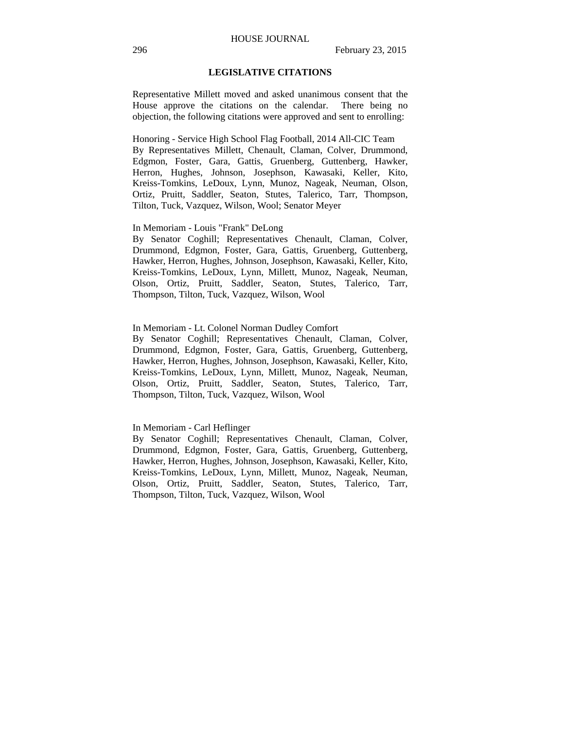## **LEGISLATIVE CITATIONS**

Representative Millett moved and asked unanimous consent that the House approve the citations on the calendar. There being no objection, the following citations were approved and sent to enrolling:

Honoring - Service High School Flag Football, 2014 All-CIC Team By Representatives Millett, Chenault, Claman, Colver, Drummond, Edgmon, Foster, Gara, Gattis, Gruenberg, Guttenberg, Hawker, Herron, Hughes, Johnson, Josephson, Kawasaki, Keller, Kito, Kreiss-Tomkins, LeDoux, Lynn, Munoz, Nageak, Neuman, Olson, Ortiz, Pruitt, Saddler, Seaton, Stutes, Talerico, Tarr, Thompson, Tilton, Tuck, Vazquez, Wilson, Wool; Senator Meyer

## In Memoriam - Louis "Frank" DeLong

By Senator Coghill; Representatives Chenault, Claman, Colver, Drummond, Edgmon, Foster, Gara, Gattis, Gruenberg, Guttenberg, Hawker, Herron, Hughes, Johnson, Josephson, Kawasaki, Keller, Kito, Kreiss-Tomkins, LeDoux, Lynn, Millett, Munoz, Nageak, Neuman, Olson, Ortiz, Pruitt, Saddler, Seaton, Stutes, Talerico, Tarr, Thompson, Tilton, Tuck, Vazquez, Wilson, Wool

#### In Memoriam - Lt. Colonel Norman Dudley Comfort

By Senator Coghill; Representatives Chenault, Claman, Colver, Drummond, Edgmon, Foster, Gara, Gattis, Gruenberg, Guttenberg, Hawker, Herron, Hughes, Johnson, Josephson, Kawasaki, Keller, Kito, Kreiss-Tomkins, LeDoux, Lynn, Millett, Munoz, Nageak, Neuman, Olson, Ortiz, Pruitt, Saddler, Seaton, Stutes, Talerico, Tarr, Thompson, Tilton, Tuck, Vazquez, Wilson, Wool

#### In Memoriam - Carl Heflinger

By Senator Coghill; Representatives Chenault, Claman, Colver, Drummond, Edgmon, Foster, Gara, Gattis, Gruenberg, Guttenberg, Hawker, Herron, Hughes, Johnson, Josephson, Kawasaki, Keller, Kito, Kreiss-Tomkins, LeDoux, Lynn, Millett, Munoz, Nageak, Neuman, Olson, Ortiz, Pruitt, Saddler, Seaton, Stutes, Talerico, Tarr, Thompson, Tilton, Tuck, Vazquez, Wilson, Wool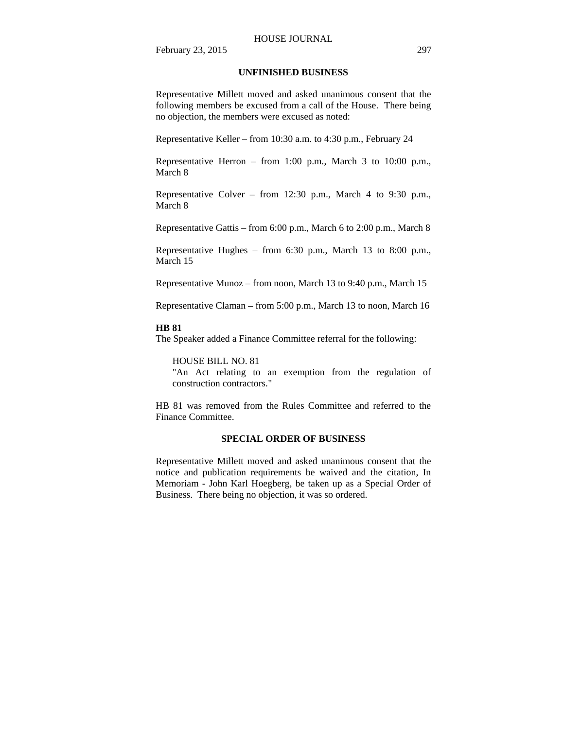#### HOUSE JOURNAL

February 23, 2015 297

## **UNFINISHED BUSINESS**

Representative Millett moved and asked unanimous consent that the following members be excused from a call of the House. There being no objection, the members were excused as noted:

Representative Keller – from 10:30 a.m. to 4:30 p.m., February 24

Representative Herron – from 1:00 p.m., March 3 to 10:00 p.m., March 8

Representative Colver – from 12:30 p.m., March 4 to 9:30 p.m., March 8

Representative Gattis – from 6:00 p.m., March 6 to 2:00 p.m., March 8

Representative Hughes – from 6:30 p.m., March 13 to 8:00 p.m., March 15

Representative Munoz – from noon, March 13 to 9:40 p.m., March 15

Representative Claman – from 5:00 p.m., March 13 to noon, March 16

#### **HB 81**

The Speaker added a Finance Committee referral for the following:

#### HOUSE BILL NO. 81

"An Act relating to an exemption from the regulation of construction contractors."

HB 81 was removed from the Rules Committee and referred to the Finance Committee.

### **SPECIAL ORDER OF BUSINESS**

Representative Millett moved and asked unanimous consent that the notice and publication requirements be waived and the citation, In Memoriam - John Karl Hoegberg, be taken up as a Special Order of Business. There being no objection, it was so ordered.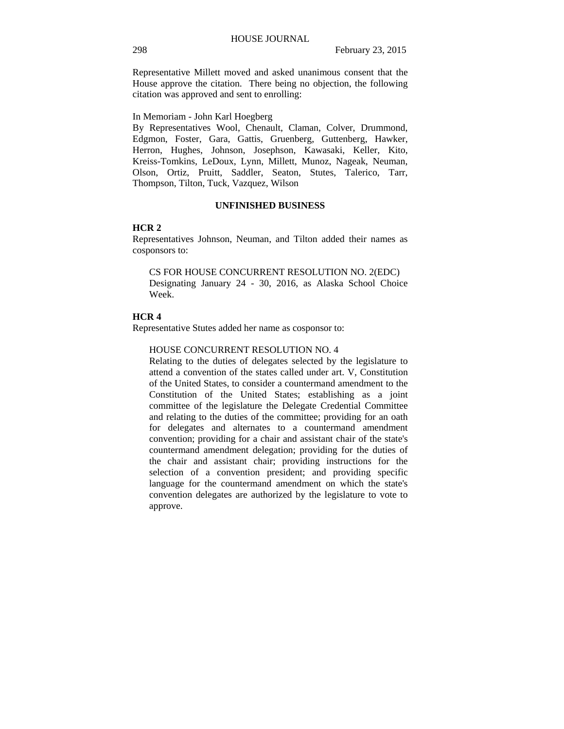Representative Millett moved and asked unanimous consent that the House approve the citation. There being no objection, the following citation was approved and sent to enrolling:

In Memoriam - John Karl Hoegberg

By Representatives Wool, Chenault, Claman, Colver, Drummond, Edgmon, Foster, Gara, Gattis, Gruenberg, Guttenberg, Hawker, Herron, Hughes, Johnson, Josephson, Kawasaki, Keller, Kito, Kreiss-Tomkins, LeDoux, Lynn, Millett, Munoz, Nageak, Neuman, Olson, Ortiz, Pruitt, Saddler, Seaton, Stutes, Talerico, Tarr, Thompson, Tilton, Tuck, Vazquez, Wilson

#### **UNFINISHED BUSINESS**

#### **HCR 2**

Representatives Johnson, Neuman, and Tilton added their names as cosponsors to:

CS FOR HOUSE CONCURRENT RESOLUTION NO. 2(EDC) Designating January 24 - 30, 2016, as Alaska School Choice Week.

## **HCR 4**

Representative Stutes added her name as cosponsor to:

#### HOUSE CONCURRENT RESOLUTION NO. 4

Relating to the duties of delegates selected by the legislature to attend a convention of the states called under art. V, Constitution of the United States, to consider a countermand amendment to the Constitution of the United States; establishing as a joint committee of the legislature the Delegate Credential Committee and relating to the duties of the committee; providing for an oath for delegates and alternates to a countermand amendment convention; providing for a chair and assistant chair of the state's countermand amendment delegation; providing for the duties of the chair and assistant chair; providing instructions for the selection of a convention president; and providing specific language for the countermand amendment on which the state's convention delegates are authorized by the legislature to vote to approve.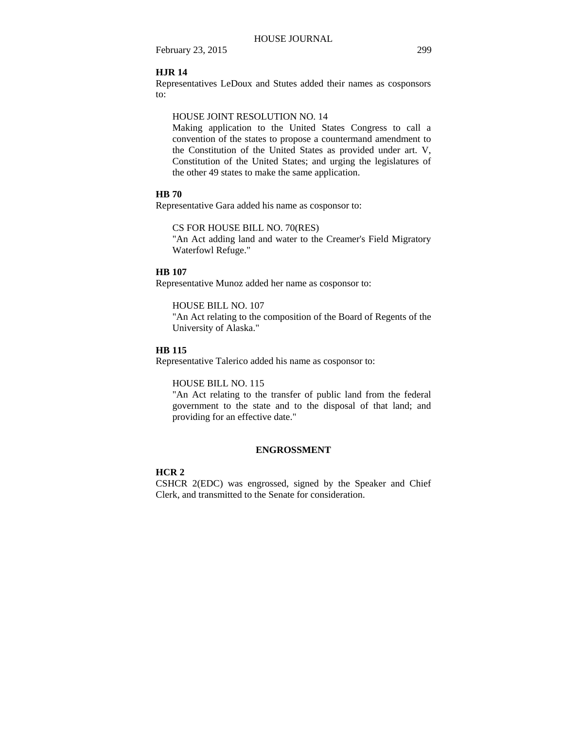## **HJR 14**

Representatives LeDoux and Stutes added their names as cosponsors to:

#### HOUSE JOINT RESOLUTION NO. 14

Making application to the United States Congress to call a convention of the states to propose a countermand amendment to the Constitution of the United States as provided under art. V, Constitution of the United States; and urging the legislatures of the other 49 states to make the same application.

#### **HB 70**

Representative Gara added his name as cosponsor to:

#### CS FOR HOUSE BILL NO. 70(RES)

"An Act adding land and water to the Creamer's Field Migratory Waterfowl Refuge."

## **HB 107**

Representative Munoz added her name as cosponsor to:

HOUSE BILL NO. 107

"An Act relating to the composition of the Board of Regents of the University of Alaska."

# **HB 115**

Representative Talerico added his name as cosponsor to:

#### HOUSE BILL NO. 115

"An Act relating to the transfer of public land from the federal government to the state and to the disposal of that land; and providing for an effective date."

## **ENGROSSMENT**

# **HCR 2**

CSHCR 2(EDC) was engrossed, signed by the Speaker and Chief Clerk, and transmitted to the Senate for consideration.